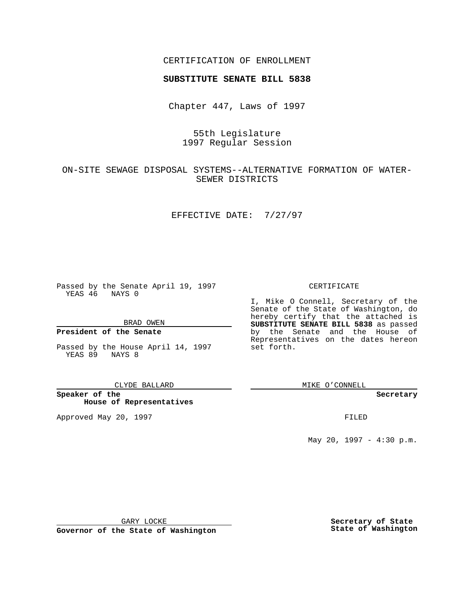## CERTIFICATION OF ENROLLMENT

# **SUBSTITUTE SENATE BILL 5838**

Chapter 447, Laws of 1997

## 55th Legislature 1997 Regular Session

## ON-SITE SEWAGE DISPOSAL SYSTEMS--ALTERNATIVE FORMATION OF WATER-SEWER DISTRICTS

### EFFECTIVE DATE: 7/27/97

Passed by the Senate April 19, 1997 YEAS 46 NAYS 0

BRAD OWEN

## **President of the Senate**

Passed by the House April 14, 1997 YEAS 89 NAYS 8

#### CLYDE BALLARD

**Speaker of the House of Representatives**

Approved May 20, 1997 **FILED** 

#### CERTIFICATE

I, Mike O Connell, Secretary of the Senate of the State of Washington, do hereby certify that the attached is **SUBSTITUTE SENATE BILL 5838** as passed by the Senate and the House of Representatives on the dates hereon set forth.

MIKE O'CONNELL

#### **Secretary**

May 20, 1997 - 4:30 p.m.

GARY LOCKE

**Governor of the State of Washington**

**Secretary of State State of Washington**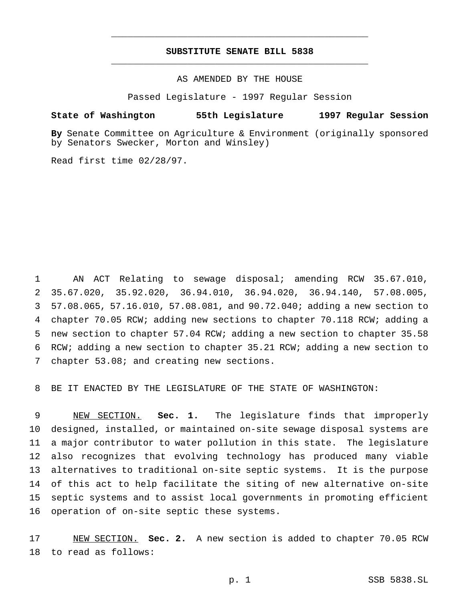## **SUBSTITUTE SENATE BILL 5838** \_\_\_\_\_\_\_\_\_\_\_\_\_\_\_\_\_\_\_\_\_\_\_\_\_\_\_\_\_\_\_\_\_\_\_\_\_\_\_\_\_\_\_\_\_\_\_

\_\_\_\_\_\_\_\_\_\_\_\_\_\_\_\_\_\_\_\_\_\_\_\_\_\_\_\_\_\_\_\_\_\_\_\_\_\_\_\_\_\_\_\_\_\_\_

AS AMENDED BY THE HOUSE

Passed Legislature - 1997 Regular Session

#### **State of Washington 55th Legislature 1997 Regular Session**

**By** Senate Committee on Agriculture & Environment (originally sponsored by Senators Swecker, Morton and Winsley)

Read first time 02/28/97.

 AN ACT Relating to sewage disposal; amending RCW 35.67.010, 35.67.020, 35.92.020, 36.94.010, 36.94.020, 36.94.140, 57.08.005, 57.08.065, 57.16.010, 57.08.081, and 90.72.040; adding a new section to chapter 70.05 RCW; adding new sections to chapter 70.118 RCW; adding a new section to chapter 57.04 RCW; adding a new section to chapter 35.58 RCW; adding a new section to chapter 35.21 RCW; adding a new section to chapter 53.08; and creating new sections.

BE IT ENACTED BY THE LEGISLATURE OF THE STATE OF WASHINGTON:

 NEW SECTION. **Sec. 1.** The legislature finds that improperly designed, installed, or maintained on-site sewage disposal systems are a major contributor to water pollution in this state. The legislature also recognizes that evolving technology has produced many viable alternatives to traditional on-site septic systems. It is the purpose of this act to help facilitate the siting of new alternative on-site septic systems and to assist local governments in promoting efficient operation of on-site septic these systems.

 NEW SECTION. **Sec. 2.** A new section is added to chapter 70.05 RCW to read as follows: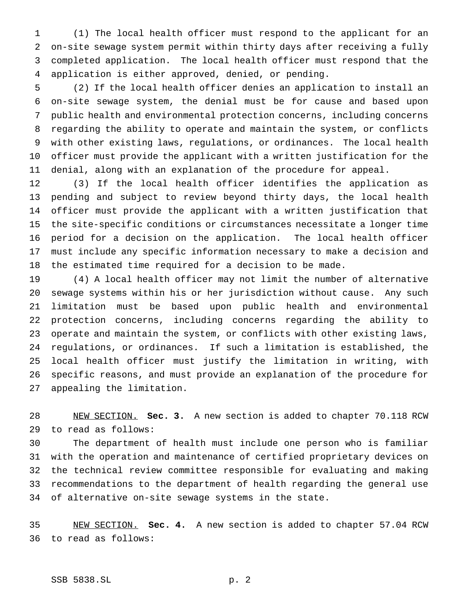(1) The local health officer must respond to the applicant for an on-site sewage system permit within thirty days after receiving a fully completed application. The local health officer must respond that the application is either approved, denied, or pending.

 (2) If the local health officer denies an application to install an on-site sewage system, the denial must be for cause and based upon public health and environmental protection concerns, including concerns regarding the ability to operate and maintain the system, or conflicts with other existing laws, regulations, or ordinances. The local health officer must provide the applicant with a written justification for the denial, along with an explanation of the procedure for appeal.

 (3) If the local health officer identifies the application as pending and subject to review beyond thirty days, the local health officer must provide the applicant with a written justification that the site-specific conditions or circumstances necessitate a longer time period for a decision on the application. The local health officer must include any specific information necessary to make a decision and the estimated time required for a decision to be made.

 (4) A local health officer may not limit the number of alternative sewage systems within his or her jurisdiction without cause. Any such limitation must be based upon public health and environmental protection concerns, including concerns regarding the ability to operate and maintain the system, or conflicts with other existing laws, regulations, or ordinances. If such a limitation is established, the local health officer must justify the limitation in writing, with specific reasons, and must provide an explanation of the procedure for appealing the limitation.

 NEW SECTION. **Sec. 3.** A new section is added to chapter 70.118 RCW to read as follows:

 The department of health must include one person who is familiar with the operation and maintenance of certified proprietary devices on the technical review committee responsible for evaluating and making recommendations to the department of health regarding the general use of alternative on-site sewage systems in the state.

 NEW SECTION. **Sec. 4.** A new section is added to chapter 57.04 RCW to read as follows:

## SSB 5838.SL p. 2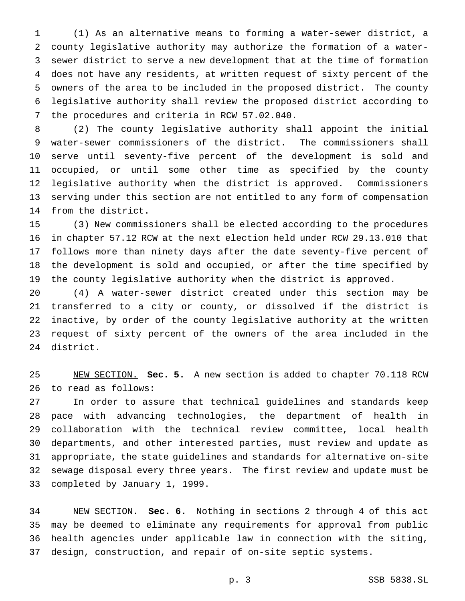(1) As an alternative means to forming a water-sewer district, a county legislative authority may authorize the formation of a water- sewer district to serve a new development that at the time of formation does not have any residents, at written request of sixty percent of the owners of the area to be included in the proposed district. The county legislative authority shall review the proposed district according to the procedures and criteria in RCW 57.02.040.

 (2) The county legislative authority shall appoint the initial water-sewer commissioners of the district. The commissioners shall serve until seventy-five percent of the development is sold and occupied, or until some other time as specified by the county legislative authority when the district is approved. Commissioners serving under this section are not entitled to any form of compensation from the district.

 (3) New commissioners shall be elected according to the procedures in chapter 57.12 RCW at the next election held under RCW 29.13.010 that follows more than ninety days after the date seventy-five percent of the development is sold and occupied, or after the time specified by the county legislative authority when the district is approved.

 (4) A water-sewer district created under this section may be transferred to a city or county, or dissolved if the district is inactive, by order of the county legislative authority at the written request of sixty percent of the owners of the area included in the district.

 NEW SECTION. **Sec. 5.** A new section is added to chapter 70.118 RCW to read as follows:

 In order to assure that technical guidelines and standards keep pace with advancing technologies, the department of health in collaboration with the technical review committee, local health departments, and other interested parties, must review and update as appropriate, the state guidelines and standards for alternative on-site sewage disposal every three years. The first review and update must be completed by January 1, 1999.

 NEW SECTION. **Sec. 6.** Nothing in sections 2 through 4 of this act may be deemed to eliminate any requirements for approval from public health agencies under applicable law in connection with the siting, design, construction, and repair of on-site septic systems.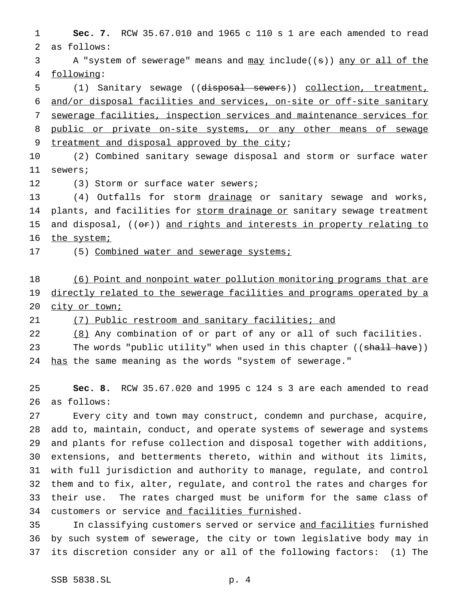**Sec. 7.** RCW 35.67.010 and 1965 c 110 s 1 are each amended to read as follows:

3 A "system of sewerage" means and  $\frac{may}{map}$  include((s)) any or all of the following:

 (1) Sanitary sewage ((disposal sewers)) collection, treatment, and/or disposal facilities and services, on-site or off-site sanitary sewerage facilities, inspection services and maintenance services for public or private on-site systems, or any other means of sewage treatment and disposal approved by the city;

 (2) Combined sanitary sewage disposal and storm or surface water sewers;

(3) Storm or surface water sewers;

13 (4) Outfalls for storm drainage or sanitary sewage and works, 14 plants, and facilities for storm drainage or sanitary sewage treatment 15 and disposal,  $((\theta \cdot \hat{r}))$  and rights and interests in property relating to 16 the system;

17 (5) Combined water and sewerage systems;

 (6) Point and nonpoint water pollution monitoring programs that are 19 directly related to the sewerage facilities and programs operated by a 20 city or town;

(7) Public restroom and sanitary facilities; and

22 (8) Any combination of or part of any or all of such facilities.

23 The words "public utility" when used in this chapter ((shall have)) 24 has the same meaning as the words "system of sewerage."

 **Sec. 8.** RCW 35.67.020 and 1995 c 124 s 3 are each amended to read as follows:

 Every city and town may construct, condemn and purchase, acquire, add to, maintain, conduct, and operate systems of sewerage and systems and plants for refuse collection and disposal together with additions, extensions, and betterments thereto, within and without its limits, with full jurisdiction and authority to manage, regulate, and control them and to fix, alter, regulate, and control the rates and charges for their use. The rates charged must be uniform for the same class of 34 customers or service and facilities furnished.

35 In classifying customers served or service and facilities furnished by such system of sewerage, the city or town legislative body may in its discretion consider any or all of the following factors: (1) The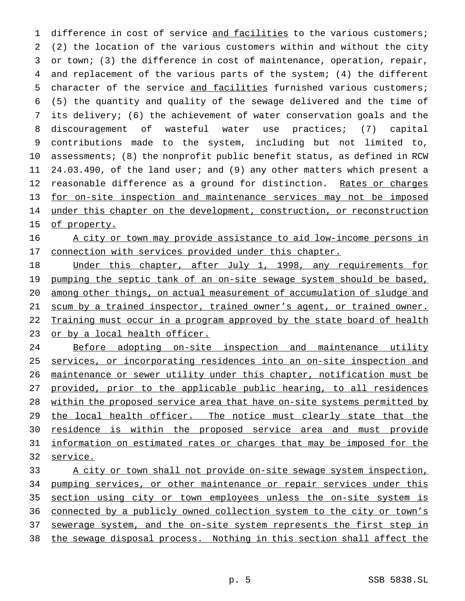1 difference in cost of service and facilities to the various customers; (2) the location of the various customers within and without the city or town; (3) the difference in cost of maintenance, operation, repair, and replacement of the various parts of the system; (4) the different character of the service and facilities furnished various customers; (5) the quantity and quality of the sewage delivered and the time of its delivery; (6) the achievement of water conservation goals and the discouragement of wasteful water use practices; (7) capital contributions made to the system, including but not limited to, assessments; (8) the nonprofit public benefit status, as defined in RCW 24.03.490, of the land user; and (9) any other matters which present a 12 reasonable difference as a ground for distinction. Rates or charges for on-site inspection and maintenance services may not be imposed 14 under this chapter on the development, construction, or reconstruction 15 of property.

 A city or town may provide assistance to aid low-income persons in 17 connection with services provided under this chapter.

18 Under this chapter, after July 1, 1998, any requirements for 19 pumping the septic tank of an on-site sewage system should be based, among other things, on actual measurement of accumulation of sludge and scum by a trained inspector, trained owner's agent, or trained owner. 22 Training must occur in a program approved by the state board of health 23 or by a local health officer.

 Before adopting on-site inspection and maintenance utility services, or incorporating residences into an on-site inspection and maintenance or sewer utility under this chapter, notification must be provided, prior to the applicable public hearing, to all residences within the proposed service area that have on-site systems permitted by 29 the local health officer. The notice must clearly state that the residence is within the proposed service area and must provide information on estimated rates or charges that may be imposed for the 32 service.

33 A city or town shall not provide on-site sewage system inspection, 34 pumping services, or other maintenance or repair services under this section using city or town employees unless the on-site system is connected by a publicly owned collection system to the city or town's sewerage system, and the on-site system represents the first step in the sewage disposal process. Nothing in this section shall affect the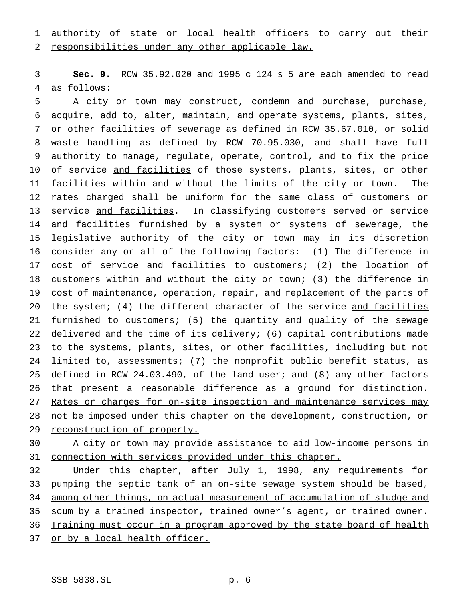# 1 authority of state or local health officers to carry out their

responsibilities under any other applicable law.

 **Sec. 9.** RCW 35.92.020 and 1995 c 124 s 5 are each amended to read as follows:

 A city or town may construct, condemn and purchase, purchase, acquire, add to, alter, maintain, and operate systems, plants, sites, 7 or other facilities of sewerage as defined in RCW 35.67.010, or solid waste handling as defined by RCW 70.95.030, and shall have full authority to manage, regulate, operate, control, and to fix the price 10 of service and facilities of those systems, plants, sites, or other facilities within and without the limits of the city or town. The rates charged shall be uniform for the same class of customers or 13 service and facilities. In classifying customers served or service 14 and facilities furnished by a system or systems of sewerage, the legislative authority of the city or town may in its discretion consider any or all of the following factors: (1) The difference in 17 cost of service and facilities to customers; (2) the location of customers within and without the city or town; (3) the difference in cost of maintenance, operation, repair, and replacement of the parts of 20 the system; (4) the different character of the service and facilities 21 furnished to customers; (5) the quantity and quality of the sewage delivered and the time of its delivery; (6) capital contributions made to the systems, plants, sites, or other facilities, including but not limited to, assessments; (7) the nonprofit public benefit status, as defined in RCW 24.03.490, of the land user; and (8) any other factors that present a reasonable difference as a ground for distinction. 27 Rates or charges for on-site inspection and maintenance services may 28 not be imposed under this chapter on the development, construction, or 29 reconstruction of property.

 A city or town may provide assistance to aid low-income persons in connection with services provided under this chapter.

 Under this chapter, after July 1, 1998, any requirements for pumping the septic tank of an on-site sewage system should be based, among other things, on actual measurement of accumulation of sludge and 35 scum by a trained inspector, trained owner's agent, or trained owner. Training must occur in a program approved by the state board of health or by a local health officer.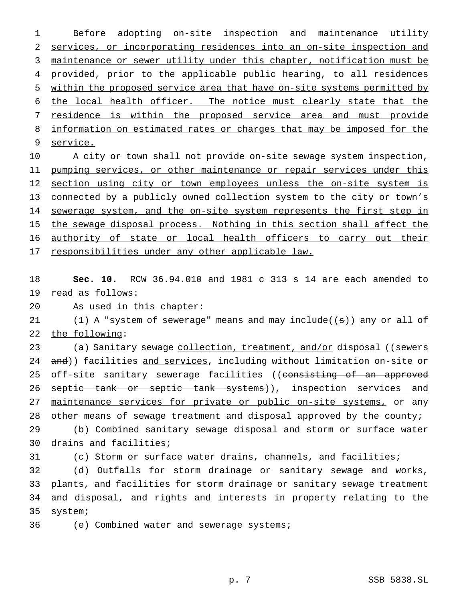1 Before adopting on-site inspection and maintenance utility 2 services, or incorporating residences into an on-site inspection and 3 maintenance or sewer utility under this chapter, notification must be 4 provided, prior to the applicable public hearing, to all residences 5 within the proposed service area that have on-site systems permitted by 6 the local health officer. The notice must clearly state that the 7 residence is within the proposed service area and must provide 8 information on estimated rates or charges that may be imposed for the 9 service. 10 A city or town shall not provide on-site sewage system inspection, 11 pumping services, or other maintenance or repair services under this

12 section using city or town employees unless the on-site system is 13 connected by a publicly owned collection system to the city or town's 14 sewerage system, and the on-site system represents the first step in 15 the sewage disposal process. Nothing in this section shall affect the 16 authority of state or local health officers to carry out their 17 responsibilities under any other applicable law.

18 **Sec. 10.** RCW 36.94.010 and 1981 c 313 s 14 are each amended to 19 read as follows:

20 As used in this chapter:

21 (1) A "system of sewerage" means and may include((s)) any or all of 22 the following:

23 (a) Sanitary sewage collection, treatment, and/or disposal ((sewers 24 and)) facilities and services, including without limitation on-site or 25 off-site sanitary sewerage facilities ((consisting of an approved 26 septic tank or septic tank systems)), inspection services and 27 maintenance services for private or public on-site systems, or any 28 other means of sewage treatment and disposal approved by the county;

29 (b) Combined sanitary sewage disposal and storm or surface water 30 drains and facilities;

31 (c) Storm or surface water drains, channels, and facilities;

 (d) Outfalls for storm drainage or sanitary sewage and works, plants, and facilities for storm drainage or sanitary sewage treatment and disposal, and rights and interests in property relating to the 35 system;

36 (e) Combined water and sewerage systems;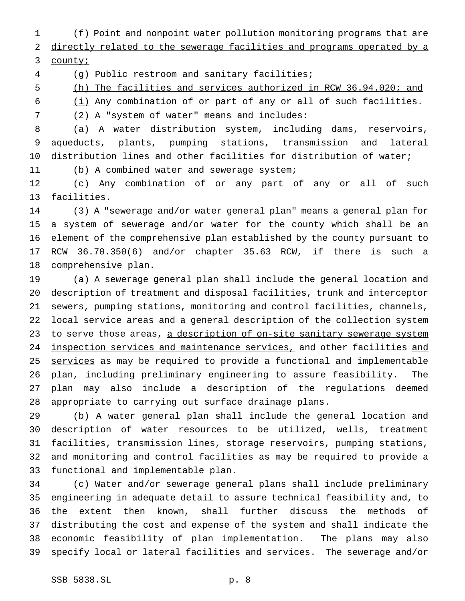(f) Point and nonpoint water pollution monitoring programs that are

 directly related to the sewerage facilities and programs operated by a county;

(g) Public restroom and sanitary facilities;

(h) The facilities and services authorized in RCW 36.94.020; and

(i) Any combination of or part of any or all of such facilities.

(2) A "system of water" means and includes:

 (a) A water distribution system, including dams, reservoirs, aqueducts, plants, pumping stations, transmission and lateral distribution lines and other facilities for distribution of water;

(b) A combined water and sewerage system;

 (c) Any combination of or any part of any or all of such facilities.

 (3) A "sewerage and/or water general plan" means a general plan for a system of sewerage and/or water for the county which shall be an element of the comprehensive plan established by the county pursuant to RCW 36.70.350(6) and/or chapter 35.63 RCW, if there is such a comprehensive plan.

 (a) A sewerage general plan shall include the general location and description of treatment and disposal facilities, trunk and interceptor sewers, pumping stations, monitoring and control facilities, channels, local service areas and a general description of the collection system 23 to serve those areas, a description of on-site sanitary sewerage system inspection services and maintenance services, and other facilities and 25 services as may be required to provide a functional and implementable plan, including preliminary engineering to assure feasibility. The plan may also include a description of the regulations deemed appropriate to carrying out surface drainage plans.

 (b) A water general plan shall include the general location and description of water resources to be utilized, wells, treatment facilities, transmission lines, storage reservoirs, pumping stations, and monitoring and control facilities as may be required to provide a functional and implementable plan.

 (c) Water and/or sewerage general plans shall include preliminary engineering in adequate detail to assure technical feasibility and, to the extent then known, shall further discuss the methods of distributing the cost and expense of the system and shall indicate the economic feasibility of plan implementation. The plans may also 39 specify local or lateral facilities and services. The sewerage and/or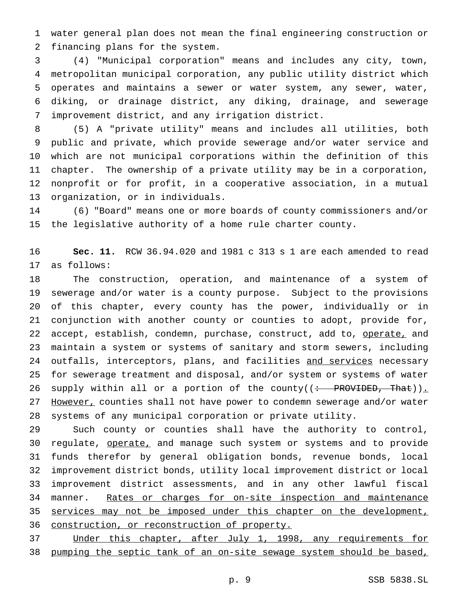water general plan does not mean the final engineering construction or financing plans for the system.

 (4) "Municipal corporation" means and includes any city, town, metropolitan municipal corporation, any public utility district which operates and maintains a sewer or water system, any sewer, water, diking, or drainage district, any diking, drainage, and sewerage improvement district, and any irrigation district.

 (5) A "private utility" means and includes all utilities, both public and private, which provide sewerage and/or water service and which are not municipal corporations within the definition of this chapter. The ownership of a private utility may be in a corporation, nonprofit or for profit, in a cooperative association, in a mutual organization, or in individuals.

 (6) "Board" means one or more boards of county commissioners and/or the legislative authority of a home rule charter county.

 **Sec. 11.** RCW 36.94.020 and 1981 c 313 s 1 are each amended to read as follows:

 The construction, operation, and maintenance of a system of sewerage and/or water is a county purpose. Subject to the provisions of this chapter, every county has the power, individually or in conjunction with another county or counties to adopt, provide for, 22 accept, establish, condemn, purchase, construct, add to, operate, and maintain a system or systems of sanitary and storm sewers, including 24 outfalls, interceptors, plans, and facilities and services necessary for sewerage treatment and disposal, and/or system or systems of water 26 supply within all or a portion of the county( $($  + PROVIDED, That)). 27 However, counties shall not have power to condemn sewerage and/or water systems of any municipal corporation or private utility.

 Such county or counties shall have the authority to control, 30 regulate, operate, and manage such system or systems and to provide funds therefor by general obligation bonds, revenue bonds, local improvement district bonds, utility local improvement district or local improvement district assessments, and in any other lawful fiscal manner. Rates or charges for on-site inspection and maintenance 35 services may not be imposed under this chapter on the development, construction, or reconstruction of property.

 Under this chapter, after July 1, 1998, any requirements for pumping the septic tank of an on-site sewage system should be based,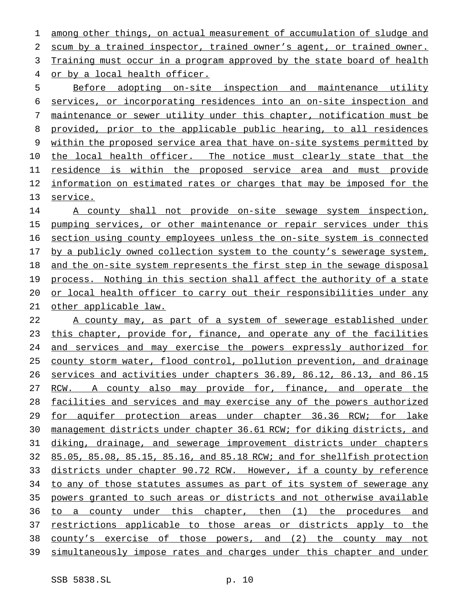among other things, on actual measurement of accumulation of sludge and scum by a trained inspector, trained owner's agent, or trained owner. 3 Training must occur in a program approved by the state board of health or by a local health officer.

 Before adopting on-site inspection and maintenance utility services, or incorporating residences into an on-site inspection and maintenance or sewer utility under this chapter, notification must be provided, prior to the applicable public hearing, to all residences within the proposed service area that have on-site systems permitted by 10 the local health officer. The notice must clearly state that the residence is within the proposed service area and must provide information on estimated rates or charges that may be imposed for the service.

14 A county shall not provide on-site sewage system inspection, 15 pumping services, or other maintenance or repair services under this section using county employees unless the on-site system is connected 17 by a publicly owned collection system to the county's sewerage system, and the on-site system represents the first step in the sewage disposal 19 process. Nothing in this section shall affect the authority of a state 20 or local health officer to carry out their responsibilities under any 21 other applicable law.

 A county may, as part of a system of sewerage established under this chapter, provide for, finance, and operate any of the facilities and services and may exercise the powers expressly authorized for county storm water, flood control, pollution prevention, and drainage services and activities under chapters 36.89, 86.12, 86.13, and 86.15 27 RCW. A county also may provide for, finance, and operate the facilities and services and may exercise any of the powers authorized 29 for aquifer protection areas under chapter 36.36 RCW; for lake management districts under chapter 36.61 RCW; for diking districts, and diking, drainage, and sewerage improvement districts under chapters 85.05, 85.08, 85.15, 85.16, and 85.18 RCW; and for shellfish protection districts under chapter 90.72 RCW. However, if a county by reference 34 to any of those statutes assumes as part of its system of sewerage any powers granted to such areas or districts and not otherwise available 36 to a county under this chapter, then (1) the procedures and 37 restrictions applicable to those areas or districts apply to the county's exercise of those powers, and (2) the county may not simultaneously impose rates and charges under this chapter and under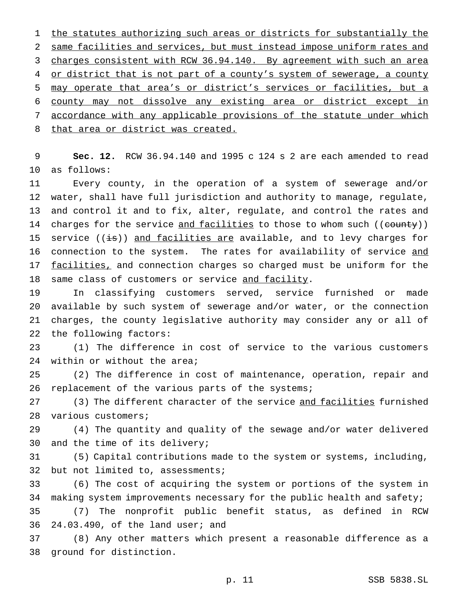1 the statutes authorizing such areas or districts for substantially the same facilities and services, but must instead impose uniform rates and charges consistent with RCW 36.94.140. By agreement with such an area 4 or district that is not part of a county's system of sewerage, a county may operate that area's or district's services or facilities, but a county may not dissolve any existing area or district except in accordance with any applicable provisions of the statute under which 8 that area or district was created.

 **Sec. 12.** RCW 36.94.140 and 1995 c 124 s 2 are each amended to read as follows:

 Every county, in the operation of a system of sewerage and/or water, shall have full jurisdiction and authority to manage, regulate, and control it and to fix, alter, regulate, and control the rates and 14 charges for the service and facilities to those to whom such ((county)) 15 service  $((\frac{1}{18}))$  and facilities are available, and to levy charges for connection to the system. The rates for availability of service and 17 facilities, and connection charges so charged must be uniform for the 18 same class of customers or service and facility.

 In classifying customers served, service furnished or made available by such system of sewerage and/or water, or the connection charges, the county legislative authority may consider any or all of the following factors:

 (1) The difference in cost of service to the various customers within or without the area;

 (2) The difference in cost of maintenance, operation, repair and 26 replacement of the various parts of the systems;

27 (3) The different character of the service and facilities furnished various customers;

 (4) The quantity and quality of the sewage and/or water delivered and the time of its delivery;

 (5) Capital contributions made to the system or systems, including, 32 but not limited to, assessments;

 (6) The cost of acquiring the system or portions of the system in making system improvements necessary for the public health and safety;

 (7) The nonprofit public benefit status, as defined in RCW 24.03.490, of the land user; and

 (8) Any other matters which present a reasonable difference as a ground for distinction.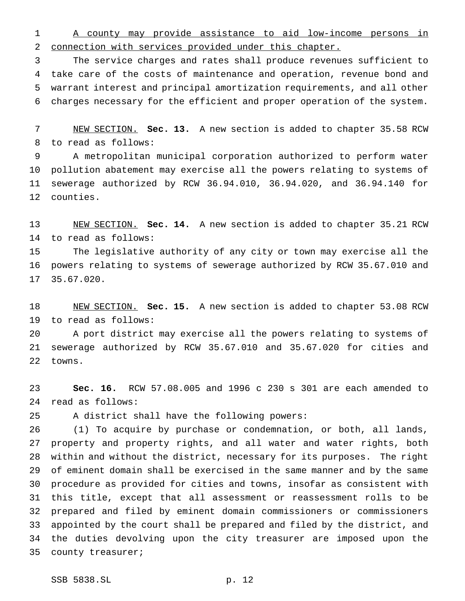A county may provide assistance to aid low-income persons in connection with services provided under this chapter.

 The service charges and rates shall produce revenues sufficient to take care of the costs of maintenance and operation, revenue bond and warrant interest and principal amortization requirements, and all other charges necessary for the efficient and proper operation of the system.

 NEW SECTION. **Sec. 13.** A new section is added to chapter 35.58 RCW to read as follows:

 A metropolitan municipal corporation authorized to perform water pollution abatement may exercise all the powers relating to systems of sewerage authorized by RCW 36.94.010, 36.94.020, and 36.94.140 for counties.

 NEW SECTION. **Sec. 14.** A new section is added to chapter 35.21 RCW to read as follows:

 The legislative authority of any city or town may exercise all the powers relating to systems of sewerage authorized by RCW 35.67.010 and 35.67.020.

 NEW SECTION. **Sec. 15.** A new section is added to chapter 53.08 RCW to read as follows:

 A port district may exercise all the powers relating to systems of sewerage authorized by RCW 35.67.010 and 35.67.020 for cities and towns.

 **Sec. 16.** RCW 57.08.005 and 1996 c 230 s 301 are each amended to read as follows:

A district shall have the following powers:

 (1) To acquire by purchase or condemnation, or both, all lands, property and property rights, and all water and water rights, both within and without the district, necessary for its purposes. The right of eminent domain shall be exercised in the same manner and by the same procedure as provided for cities and towns, insofar as consistent with this title, except that all assessment or reassessment rolls to be prepared and filed by eminent domain commissioners or commissioners appointed by the court shall be prepared and filed by the district, and the duties devolving upon the city treasurer are imposed upon the county treasurer;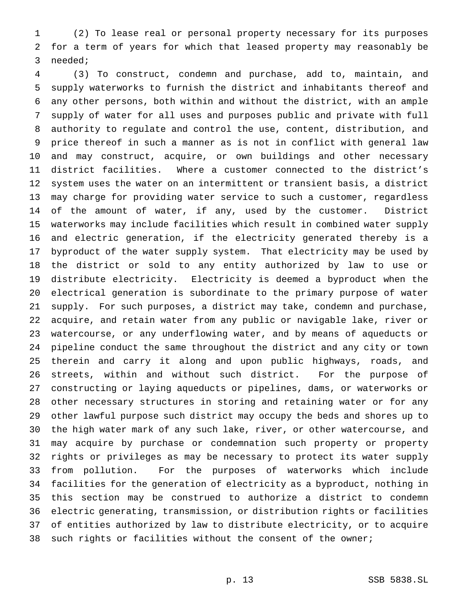(2) To lease real or personal property necessary for its purposes for a term of years for which that leased property may reasonably be needed;

 (3) To construct, condemn and purchase, add to, maintain, and supply waterworks to furnish the district and inhabitants thereof and any other persons, both within and without the district, with an ample supply of water for all uses and purposes public and private with full authority to regulate and control the use, content, distribution, and price thereof in such a manner as is not in conflict with general law and may construct, acquire, or own buildings and other necessary district facilities. Where a customer connected to the district's system uses the water on an intermittent or transient basis, a district may charge for providing water service to such a customer, regardless of the amount of water, if any, used by the customer. District waterworks may include facilities which result in combined water supply and electric generation, if the electricity generated thereby is a byproduct of the water supply system. That electricity may be used by the district or sold to any entity authorized by law to use or distribute electricity. Electricity is deemed a byproduct when the electrical generation is subordinate to the primary purpose of water supply. For such purposes, a district may take, condemn and purchase, acquire, and retain water from any public or navigable lake, river or watercourse, or any underflowing water, and by means of aqueducts or pipeline conduct the same throughout the district and any city or town therein and carry it along and upon public highways, roads, and streets, within and without such district. For the purpose of constructing or laying aqueducts or pipelines, dams, or waterworks or other necessary structures in storing and retaining water or for any other lawful purpose such district may occupy the beds and shores up to the high water mark of any such lake, river, or other watercourse, and may acquire by purchase or condemnation such property or property rights or privileges as may be necessary to protect its water supply from pollution. For the purposes of waterworks which include facilities for the generation of electricity as a byproduct, nothing in this section may be construed to authorize a district to condemn electric generating, transmission, or distribution rights or facilities of entities authorized by law to distribute electricity, or to acquire such rights or facilities without the consent of the owner;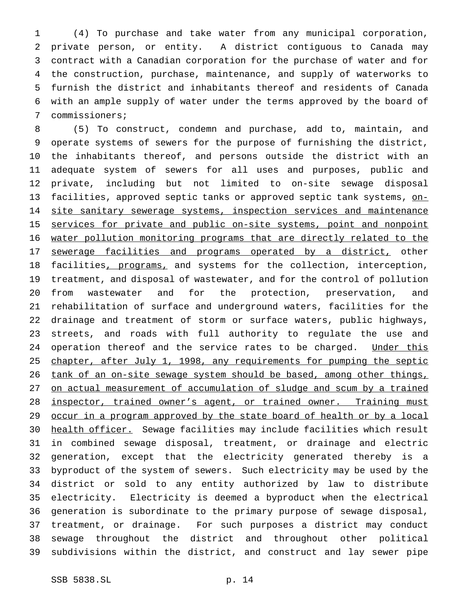(4) To purchase and take water from any municipal corporation, private person, or entity. A district contiguous to Canada may contract with a Canadian corporation for the purchase of water and for the construction, purchase, maintenance, and supply of waterworks to furnish the district and inhabitants thereof and residents of Canada with an ample supply of water under the terms approved by the board of commissioners;

 (5) To construct, condemn and purchase, add to, maintain, and operate systems of sewers for the purpose of furnishing the district, the inhabitants thereof, and persons outside the district with an adequate system of sewers for all uses and purposes, public and private, including but not limited to on-site sewage disposal 13 facilities, approved septic tanks or approved septic tank systems, on-14 site sanitary sewerage systems, inspection services and maintenance 15 services for private and public on-site systems, point and nonpoint water pollution monitoring programs that are directly related to the 17 sewerage facilities and programs operated by a district, other 18 facilities, programs, and systems for the collection, interception, treatment, and disposal of wastewater, and for the control of pollution from wastewater and for the protection, preservation, and rehabilitation of surface and underground waters, facilities for the drainage and treatment of storm or surface waters, public highways, streets, and roads with full authority to regulate the use and 24 operation thereof and the service rates to be charged. Under this 25 chapter, after July 1, 1998, any requirements for pumping the septic 26 tank of an on-site sewage system should be based, among other things, on actual measurement of accumulation of sludge and scum by a trained 28 inspector, trained owner's agent, or trained owner. Training must 29 occur in a program approved by the state board of health or by a local 30 health officer. Sewage facilities may include facilities which result in combined sewage disposal, treatment, or drainage and electric generation, except that the electricity generated thereby is a byproduct of the system of sewers. Such electricity may be used by the district or sold to any entity authorized by law to distribute electricity. Electricity is deemed a byproduct when the electrical generation is subordinate to the primary purpose of sewage disposal, treatment, or drainage. For such purposes a district may conduct sewage throughout the district and throughout other political subdivisions within the district, and construct and lay sewer pipe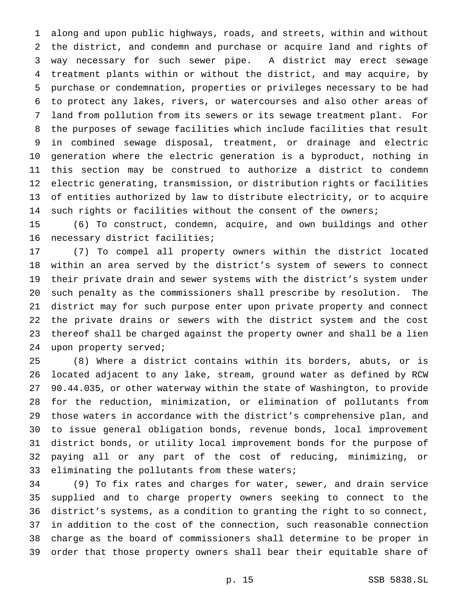along and upon public highways, roads, and streets, within and without the district, and condemn and purchase or acquire land and rights of way necessary for such sewer pipe. A district may erect sewage treatment plants within or without the district, and may acquire, by purchase or condemnation, properties or privileges necessary to be had to protect any lakes, rivers, or watercourses and also other areas of land from pollution from its sewers or its sewage treatment plant. For the purposes of sewage facilities which include facilities that result in combined sewage disposal, treatment, or drainage and electric generation where the electric generation is a byproduct, nothing in this section may be construed to authorize a district to condemn electric generating, transmission, or distribution rights or facilities of entities authorized by law to distribute electricity, or to acquire such rights or facilities without the consent of the owners;

 (6) To construct, condemn, acquire, and own buildings and other necessary district facilities;

 (7) To compel all property owners within the district located within an area served by the district's system of sewers to connect their private drain and sewer systems with the district's system under such penalty as the commissioners shall prescribe by resolution. The district may for such purpose enter upon private property and connect the private drains or sewers with the district system and the cost thereof shall be charged against the property owner and shall be a lien 24 upon property served;

 (8) Where a district contains within its borders, abuts, or is located adjacent to any lake, stream, ground water as defined by RCW 90.44.035, or other waterway within the state of Washington, to provide for the reduction, minimization, or elimination of pollutants from those waters in accordance with the district's comprehensive plan, and to issue general obligation bonds, revenue bonds, local improvement district bonds, or utility local improvement bonds for the purpose of paying all or any part of the cost of reducing, minimizing, or eliminating the pollutants from these waters;

 (9) To fix rates and charges for water, sewer, and drain service supplied and to charge property owners seeking to connect to the district's systems, as a condition to granting the right to so connect, in addition to the cost of the connection, such reasonable connection charge as the board of commissioners shall determine to be proper in order that those property owners shall bear their equitable share of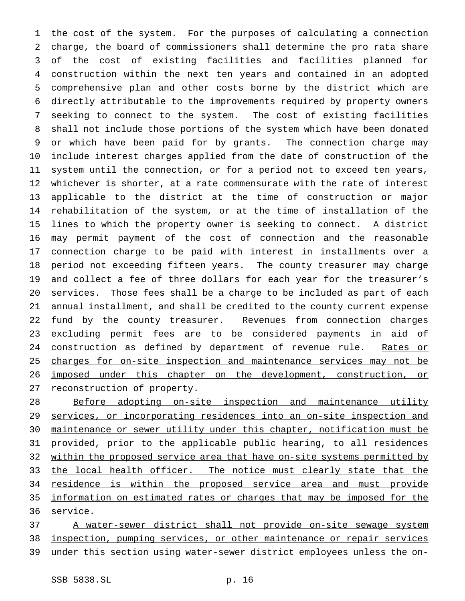the cost of the system. For the purposes of calculating a connection charge, the board of commissioners shall determine the pro rata share of the cost of existing facilities and facilities planned for construction within the next ten years and contained in an adopted comprehensive plan and other costs borne by the district which are directly attributable to the improvements required by property owners seeking to connect to the system. The cost of existing facilities shall not include those portions of the system which have been donated or which have been paid for by grants. The connection charge may include interest charges applied from the date of construction of the system until the connection, or for a period not to exceed ten years, whichever is shorter, at a rate commensurate with the rate of interest applicable to the district at the time of construction or major rehabilitation of the system, or at the time of installation of the lines to which the property owner is seeking to connect. A district may permit payment of the cost of connection and the reasonable connection charge to be paid with interest in installments over a period not exceeding fifteen years. The county treasurer may charge and collect a fee of three dollars for each year for the treasurer's services. Those fees shall be a charge to be included as part of each annual installment, and shall be credited to the county current expense fund by the county treasurer. Revenues from connection charges excluding permit fees are to be considered payments in aid of 24 construction as defined by department of revenue rule. Rates or 25 charges for on-site inspection and maintenance services may not be imposed under this chapter on the development, construction, or reconstruction of property.

28 Before adopting on-site inspection and maintenance utility services, or incorporating residences into an on-site inspection and maintenance or sewer utility under this chapter, notification must be provided, prior to the applicable public hearing, to all residences within the proposed service area that have on-site systems permitted by 33 the local health officer. The notice must clearly state that the 34 residence is within the proposed service area and must provide information on estimated rates or charges that may be imposed for the 36 service.

 A water-sewer district shall not provide on-site sewage system inspection, pumping services, or other maintenance or repair services under this section using water-sewer district employees unless the on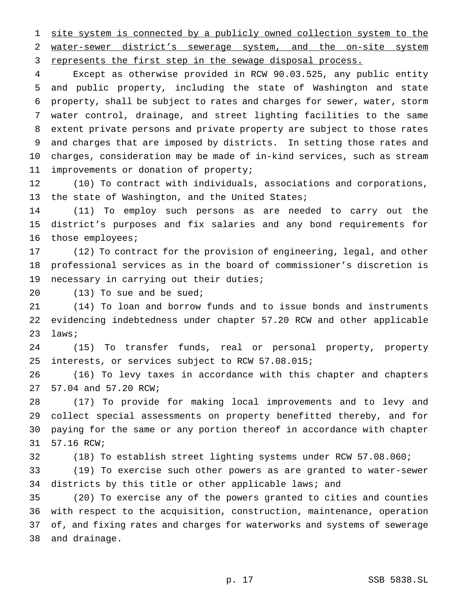site system is connected by a publicly owned collection system to the water-sewer district's sewerage system, and the on-site system 3 represents the first step in the sewage disposal process.

 Except as otherwise provided in RCW 90.03.525, any public entity and public property, including the state of Washington and state property, shall be subject to rates and charges for sewer, water, storm water control, drainage, and street lighting facilities to the same extent private persons and private property are subject to those rates and charges that are imposed by districts. In setting those rates and charges, consideration may be made of in-kind services, such as stream improvements or donation of property;

 (10) To contract with individuals, associations and corporations, 13 the state of Washington, and the United States;

 (11) To employ such persons as are needed to carry out the district's purposes and fix salaries and any bond requirements for 16 those employees;

 (12) To contract for the provision of engineering, legal, and other professional services as in the board of commissioner's discretion is necessary in carrying out their duties;

(13) To sue and be sued;

 (14) To loan and borrow funds and to issue bonds and instruments evidencing indebtedness under chapter 57.20 RCW and other applicable laws;

 (15) To transfer funds, real or personal property, property interests, or services subject to RCW 57.08.015;

 (16) To levy taxes in accordance with this chapter and chapters 57.04 and 57.20 RCW;

 (17) To provide for making local improvements and to levy and collect special assessments on property benefitted thereby, and for paying for the same or any portion thereof in accordance with chapter 57.16 RCW;

(18) To establish street lighting systems under RCW 57.08.060;

 (19) To exercise such other powers as are granted to water-sewer 34 districts by this title or other applicable laws; and

 (20) To exercise any of the powers granted to cities and counties with respect to the acquisition, construction, maintenance, operation of, and fixing rates and charges for waterworks and systems of sewerage and drainage.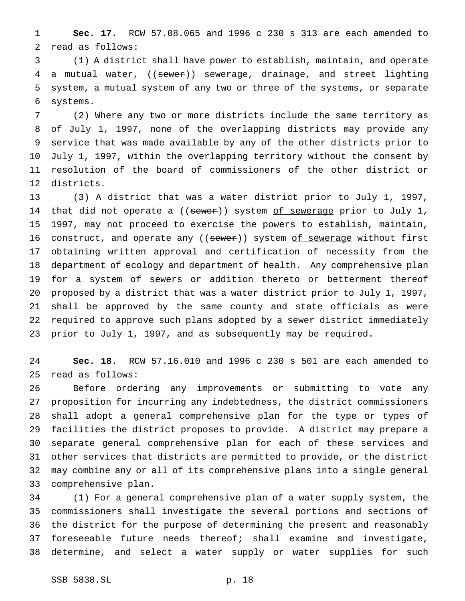**Sec. 17.** RCW 57.08.065 and 1996 c 230 s 313 are each amended to read as follows:

 (1) A district shall have power to establish, maintain, and operate 4 a mutual water, ((sewer)) sewerage, drainage, and street lighting system, a mutual system of any two or three of the systems, or separate systems.

 (2) Where any two or more districts include the same territory as of July 1, 1997, none of the overlapping districts may provide any service that was made available by any of the other districts prior to July 1, 1997, within the overlapping territory without the consent by resolution of the board of commissioners of the other district or districts.

 (3) A district that was a water district prior to July 1, 1997, 14 that did not operate a ((sewer)) system of sewerage prior to July 1, 1997, may not proceed to exercise the powers to establish, maintain, 16 construct, and operate any ((sewer)) system of sewerage without first obtaining written approval and certification of necessity from the department of ecology and department of health. Any comprehensive plan for a system of sewers or addition thereto or betterment thereof proposed by a district that was a water district prior to July 1, 1997, shall be approved by the same county and state officials as were required to approve such plans adopted by a sewer district immediately prior to July 1, 1997, and as subsequently may be required.

 **Sec. 18.** RCW 57.16.010 and 1996 c 230 s 501 are each amended to read as follows:

 Before ordering any improvements or submitting to vote any proposition for incurring any indebtedness, the district commissioners shall adopt a general comprehensive plan for the type or types of facilities the district proposes to provide. A district may prepare a separate general comprehensive plan for each of these services and other services that districts are permitted to provide, or the district may combine any or all of its comprehensive plans into a single general comprehensive plan.

 (1) For a general comprehensive plan of a water supply system, the commissioners shall investigate the several portions and sections of the district for the purpose of determining the present and reasonably foreseeable future needs thereof; shall examine and investigate, determine, and select a water supply or water supplies for such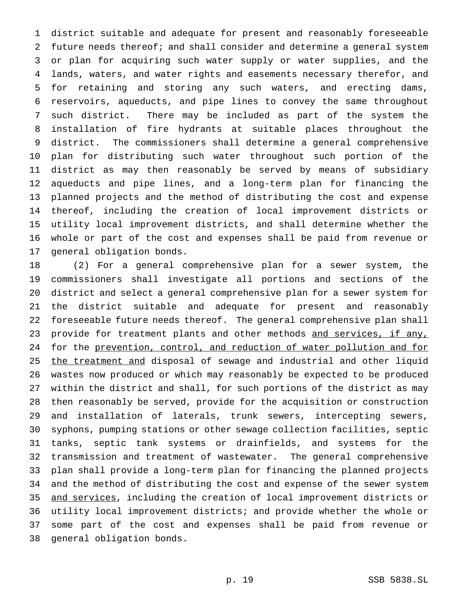district suitable and adequate for present and reasonably foreseeable future needs thereof; and shall consider and determine a general system or plan for acquiring such water supply or water supplies, and the lands, waters, and water rights and easements necessary therefor, and for retaining and storing any such waters, and erecting dams, reservoirs, aqueducts, and pipe lines to convey the same throughout such district. There may be included as part of the system the installation of fire hydrants at suitable places throughout the district. The commissioners shall determine a general comprehensive plan for distributing such water throughout such portion of the district as may then reasonably be served by means of subsidiary aqueducts and pipe lines, and a long-term plan for financing the planned projects and the method of distributing the cost and expense thereof, including the creation of local improvement districts or utility local improvement districts, and shall determine whether the whole or part of the cost and expenses shall be paid from revenue or general obligation bonds.

 (2) For a general comprehensive plan for a sewer system, the commissioners shall investigate all portions and sections of the district and select a general comprehensive plan for a sewer system for the district suitable and adequate for present and reasonably foreseeable future needs thereof. The general comprehensive plan shall 23 provide for treatment plants and other methods and services, if any, for the prevention, control, and reduction of water pollution and for 25 the treatment and disposal of sewage and industrial and other liquid wastes now produced or which may reasonably be expected to be produced within the district and shall, for such portions of the district as may then reasonably be served, provide for the acquisition or construction and installation of laterals, trunk sewers, intercepting sewers, syphons, pumping stations or other sewage collection facilities, septic tanks, septic tank systems or drainfields, and systems for the transmission and treatment of wastewater. The general comprehensive plan shall provide a long-term plan for financing the planned projects and the method of distributing the cost and expense of the sewer system and services, including the creation of local improvement districts or utility local improvement districts; and provide whether the whole or some part of the cost and expenses shall be paid from revenue or general obligation bonds.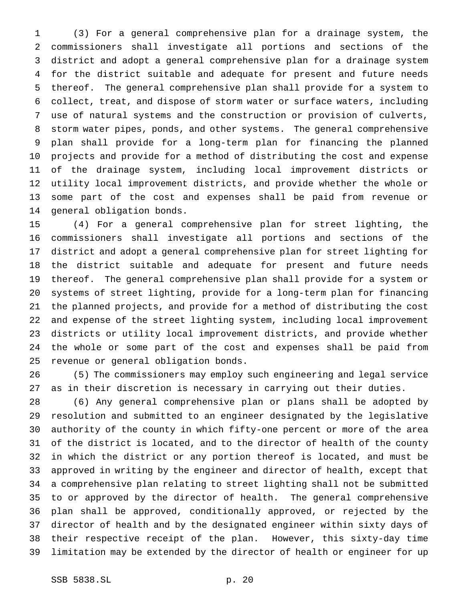(3) For a general comprehensive plan for a drainage system, the commissioners shall investigate all portions and sections of the district and adopt a general comprehensive plan for a drainage system for the district suitable and adequate for present and future needs thereof. The general comprehensive plan shall provide for a system to collect, treat, and dispose of storm water or surface waters, including use of natural systems and the construction or provision of culverts, storm water pipes, ponds, and other systems. The general comprehensive plan shall provide for a long-term plan for financing the planned projects and provide for a method of distributing the cost and expense of the drainage system, including local improvement districts or utility local improvement districts, and provide whether the whole or some part of the cost and expenses shall be paid from revenue or general obligation bonds.

 (4) For a general comprehensive plan for street lighting, the commissioners shall investigate all portions and sections of the district and adopt a general comprehensive plan for street lighting for the district suitable and adequate for present and future needs thereof. The general comprehensive plan shall provide for a system or systems of street lighting, provide for a long-term plan for financing the planned projects, and provide for a method of distributing the cost and expense of the street lighting system, including local improvement districts or utility local improvement districts, and provide whether the whole or some part of the cost and expenses shall be paid from revenue or general obligation bonds.

 (5) The commissioners may employ such engineering and legal service as in their discretion is necessary in carrying out their duties.

 (6) Any general comprehensive plan or plans shall be adopted by resolution and submitted to an engineer designated by the legislative authority of the county in which fifty-one percent or more of the area of the district is located, and to the director of health of the county in which the district or any portion thereof is located, and must be approved in writing by the engineer and director of health, except that a comprehensive plan relating to street lighting shall not be submitted to or approved by the director of health. The general comprehensive plan shall be approved, conditionally approved, or rejected by the director of health and by the designated engineer within sixty days of their respective receipt of the plan. However, this sixty-day time limitation may be extended by the director of health or engineer for up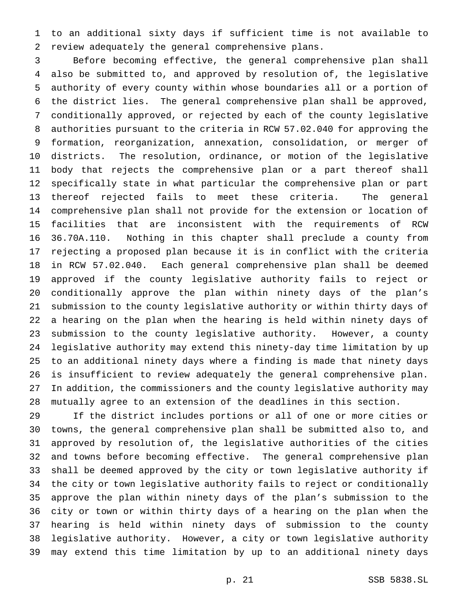to an additional sixty days if sufficient time is not available to review adequately the general comprehensive plans.

 Before becoming effective, the general comprehensive plan shall also be submitted to, and approved by resolution of, the legislative authority of every county within whose boundaries all or a portion of the district lies. The general comprehensive plan shall be approved, conditionally approved, or rejected by each of the county legislative authorities pursuant to the criteria in RCW 57.02.040 for approving the formation, reorganization, annexation, consolidation, or merger of districts. The resolution, ordinance, or motion of the legislative body that rejects the comprehensive plan or a part thereof shall specifically state in what particular the comprehensive plan or part thereof rejected fails to meet these criteria. The general comprehensive plan shall not provide for the extension or location of facilities that are inconsistent with the requirements of RCW 36.70A.110. Nothing in this chapter shall preclude a county from rejecting a proposed plan because it is in conflict with the criteria in RCW 57.02.040. Each general comprehensive plan shall be deemed approved if the county legislative authority fails to reject or conditionally approve the plan within ninety days of the plan's submission to the county legislative authority or within thirty days of a hearing on the plan when the hearing is held within ninety days of submission to the county legislative authority. However, a county legislative authority may extend this ninety-day time limitation by up to an additional ninety days where a finding is made that ninety days is insufficient to review adequately the general comprehensive plan. In addition, the commissioners and the county legislative authority may mutually agree to an extension of the deadlines in this section.

 If the district includes portions or all of one or more cities or towns, the general comprehensive plan shall be submitted also to, and approved by resolution of, the legislative authorities of the cities and towns before becoming effective. The general comprehensive plan shall be deemed approved by the city or town legislative authority if the city or town legislative authority fails to reject or conditionally approve the plan within ninety days of the plan's submission to the city or town or within thirty days of a hearing on the plan when the hearing is held within ninety days of submission to the county legislative authority. However, a city or town legislative authority may extend this time limitation by up to an additional ninety days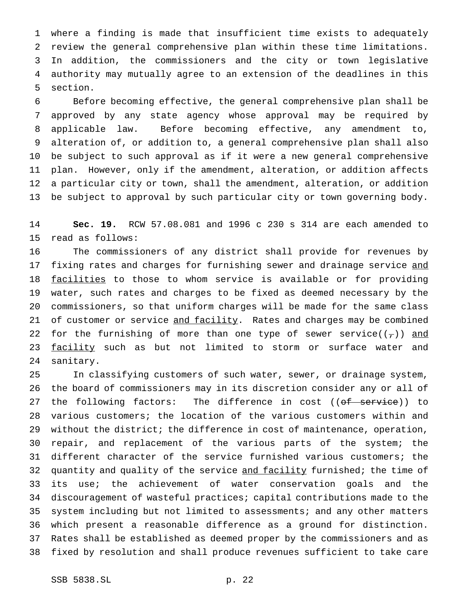where a finding is made that insufficient time exists to adequately review the general comprehensive plan within these time limitations. In addition, the commissioners and the city or town legislative authority may mutually agree to an extension of the deadlines in this section.

 Before becoming effective, the general comprehensive plan shall be approved by any state agency whose approval may be required by applicable law. Before becoming effective, any amendment to, alteration of, or addition to, a general comprehensive plan shall also be subject to such approval as if it were a new general comprehensive plan. However, only if the amendment, alteration, or addition affects a particular city or town, shall the amendment, alteration, or addition be subject to approval by such particular city or town governing body.

 **Sec. 19.** RCW 57.08.081 and 1996 c 230 s 314 are each amended to read as follows:

 The commissioners of any district shall provide for revenues by 17 fixing rates and charges for furnishing sewer and drainage service and 18 facilities to those to whom service is available or for providing water, such rates and charges to be fixed as deemed necessary by the commissioners, so that uniform charges will be made for the same class 21 of customer or service and facility. Rates and charges may be combined 22 for the furnishing of more than one type of sewer service( $(\tau)$ ) and 23 facility such as but not limited to storm or surface water and sanitary.

 In classifying customers of such water, sewer, or drainage system, the board of commissioners may in its discretion consider any or all of 27 the following factors: The difference in cost ((of service)) to various customers; the location of the various customers within and without the district; the difference in cost of maintenance, operation, repair, and replacement of the various parts of the system; the different character of the service furnished various customers; the 32 quantity and quality of the service and facility furnished; the time of its use; the achievement of water conservation goals and the discouragement of wasteful practices; capital contributions made to the system including but not limited to assessments; and any other matters which present a reasonable difference as a ground for distinction. Rates shall be established as deemed proper by the commissioners and as fixed by resolution and shall produce revenues sufficient to take care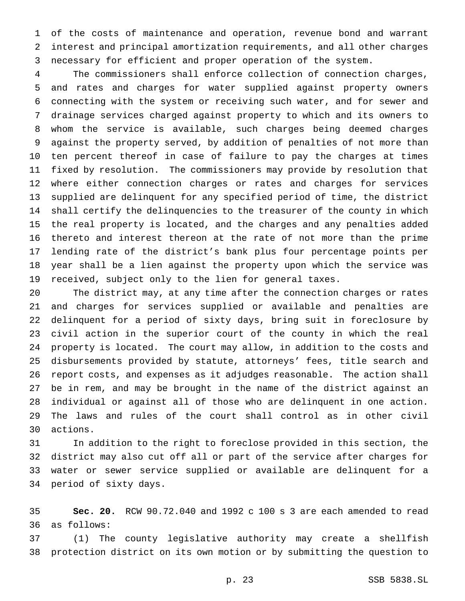of the costs of maintenance and operation, revenue bond and warrant interest and principal amortization requirements, and all other charges necessary for efficient and proper operation of the system.

 The commissioners shall enforce collection of connection charges, and rates and charges for water supplied against property owners connecting with the system or receiving such water, and for sewer and drainage services charged against property to which and its owners to whom the service is available, such charges being deemed charges against the property served, by addition of penalties of not more than ten percent thereof in case of failure to pay the charges at times fixed by resolution. The commissioners may provide by resolution that where either connection charges or rates and charges for services supplied are delinquent for any specified period of time, the district shall certify the delinquencies to the treasurer of the county in which the real property is located, and the charges and any penalties added thereto and interest thereon at the rate of not more than the prime lending rate of the district's bank plus four percentage points per year shall be a lien against the property upon which the service was received, subject only to the lien for general taxes.

 The district may, at any time after the connection charges or rates and charges for services supplied or available and penalties are delinquent for a period of sixty days, bring suit in foreclosure by civil action in the superior court of the county in which the real property is located. The court may allow, in addition to the costs and disbursements provided by statute, attorneys' fees, title search and report costs, and expenses as it adjudges reasonable. The action shall be in rem, and may be brought in the name of the district against an individual or against all of those who are delinquent in one action. The laws and rules of the court shall control as in other civil actions.

 In addition to the right to foreclose provided in this section, the district may also cut off all or part of the service after charges for water or sewer service supplied or available are delinquent for a period of sixty days.

 **Sec. 20.** RCW 90.72.040 and 1992 c 100 s 3 are each amended to read as follows:

 (1) The county legislative authority may create a shellfish protection district on its own motion or by submitting the question to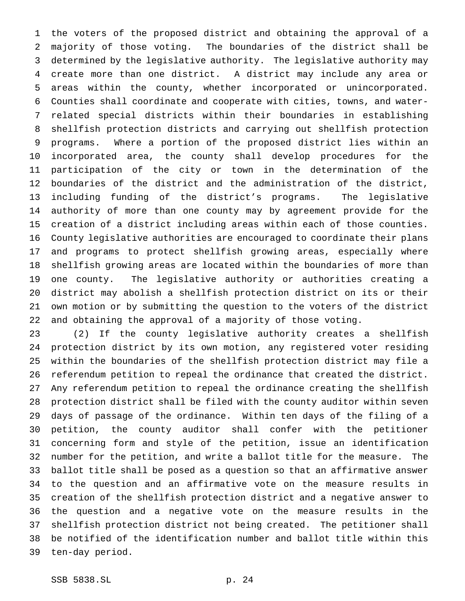the voters of the proposed district and obtaining the approval of a majority of those voting. The boundaries of the district shall be determined by the legislative authority. The legislative authority may create more than one district. A district may include any area or areas within the county, whether incorporated or unincorporated. Counties shall coordinate and cooperate with cities, towns, and water- related special districts within their boundaries in establishing shellfish protection districts and carrying out shellfish protection programs. Where a portion of the proposed district lies within an incorporated area, the county shall develop procedures for the participation of the city or town in the determination of the boundaries of the district and the administration of the district, including funding of the district's programs. The legislative authority of more than one county may by agreement provide for the creation of a district including areas within each of those counties. County legislative authorities are encouraged to coordinate their plans and programs to protect shellfish growing areas, especially where shellfish growing areas are located within the boundaries of more than one county. The legislative authority or authorities creating a district may abolish a shellfish protection district on its or their own motion or by submitting the question to the voters of the district and obtaining the approval of a majority of those voting.

 (2) If the county legislative authority creates a shellfish protection district by its own motion, any registered voter residing within the boundaries of the shellfish protection district may file a referendum petition to repeal the ordinance that created the district. Any referendum petition to repeal the ordinance creating the shellfish protection district shall be filed with the county auditor within seven days of passage of the ordinance. Within ten days of the filing of a petition, the county auditor shall confer with the petitioner concerning form and style of the petition, issue an identification number for the petition, and write a ballot title for the measure. The ballot title shall be posed as a question so that an affirmative answer to the question and an affirmative vote on the measure results in creation of the shellfish protection district and a negative answer to the question and a negative vote on the measure results in the shellfish protection district not being created. The petitioner shall be notified of the identification number and ballot title within this ten-day period.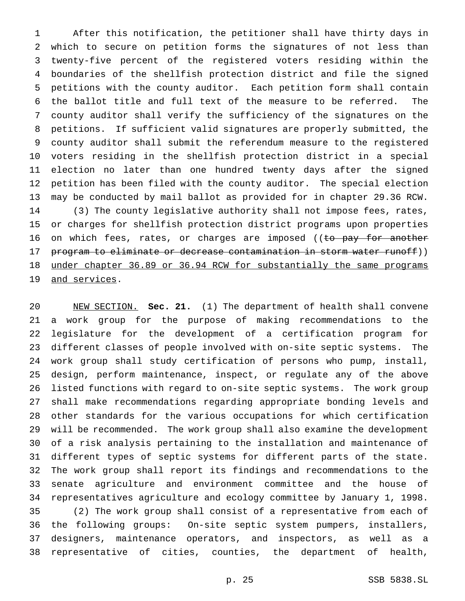After this notification, the petitioner shall have thirty days in which to secure on petition forms the signatures of not less than twenty-five percent of the registered voters residing within the boundaries of the shellfish protection district and file the signed petitions with the county auditor. Each petition form shall contain the ballot title and full text of the measure to be referred. The county auditor shall verify the sufficiency of the signatures on the petitions. If sufficient valid signatures are properly submitted, the county auditor shall submit the referendum measure to the registered voters residing in the shellfish protection district in a special election no later than one hundred twenty days after the signed petition has been filed with the county auditor. The special election may be conducted by mail ballot as provided for in chapter 29.36 RCW. (3) The county legislative authority shall not impose fees, rates, or charges for shellfish protection district programs upon properties 16 on which fees, rates, or charges are imposed ((to pay for another 17 program to eliminate or decrease contamination in storm water runoff)) under chapter 36.89 or 36.94 RCW for substantially the same programs 19 and services.

 NEW SECTION. **Sec. 21.** (1) The department of health shall convene a work group for the purpose of making recommendations to the legislature for the development of a certification program for different classes of people involved with on-site septic systems. The work group shall study certification of persons who pump, install, design, perform maintenance, inspect, or regulate any of the above listed functions with regard to on-site septic systems. The work group shall make recommendations regarding appropriate bonding levels and other standards for the various occupations for which certification will be recommended. The work group shall also examine the development of a risk analysis pertaining to the installation and maintenance of different types of septic systems for different parts of the state. The work group shall report its findings and recommendations to the senate agriculture and environment committee and the house of representatives agriculture and ecology committee by January 1, 1998. (2) The work group shall consist of a representative from each of the following groups: On-site septic system pumpers, installers, designers, maintenance operators, and inspectors, as well as a representative of cities, counties, the department of health,